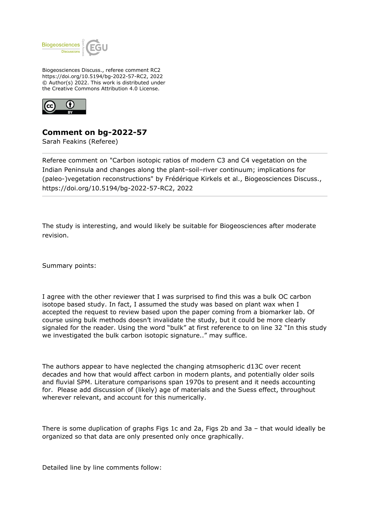

Biogeosciences Discuss., referee comment RC2 https://doi.org/10.5194/bg-2022-57-RC2, 2022 © Author(s) 2022. This work is distributed under the Creative Commons Attribution 4.0 License.



## **Comment on bg-2022-57**

Sarah Feakins (Referee)

Referee comment on "Carbon isotopic ratios of modern C3 and C4 vegetation on the Indian Peninsula and changes along the plant–soil–river continuum; implications for (paleo-)vegetation reconstructions" by Frédérique Kirkels et al., Biogeosciences Discuss., https://doi.org/10.5194/bg-2022-57-RC2, 2022

The study is interesting, and would likely be suitable for Biogeosciences after moderate revision.

Summary points:

I agree with the other reviewer that I was surprised to find this was a bulk OC carbon isotope based study. In fact, I assumed the study was based on plant wax when I accepted the request to review based upon the paper coming from a biomarker lab. Of course using bulk methods doesn't invalidate the study, but it could be more clearly signaled for the reader. Using the word "bulk" at first reference to on line 32 "In this study we investigated the bulk carbon isotopic signature.." may suffice.

The authors appear to have neglected the changing atmsopheric d13C over recent decades and how that would affect carbon in modern plants, and potentially older soils and fluvial SPM. Literature comparisons span 1970s to present and it needs accounting for. Please add discussion of (likely) age of materials and the Suess effect, throughout wherever relevant, and account for this numerically.

There is some duplication of graphs Figs 1c and 2a, Figs 2b and 3a – that would ideally be organized so that data are only presented only once graphically.

Detailed line by line comments follow: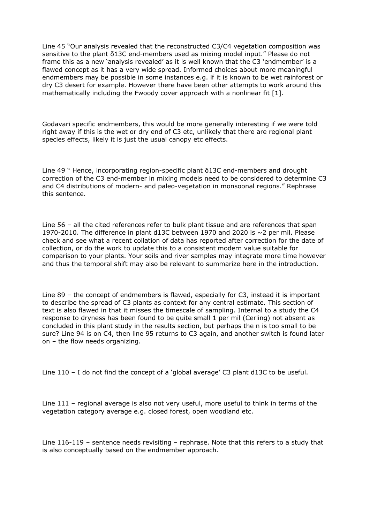Line 45 "Our analysis revealed that the reconstructed C3/C4 vegetation composition was sensitive to the plant δ13C end-members used as mixing model input." Please do not frame this as a new 'analysis revealed' as it is well known that the C3 'endmember' is a flawed concept as it has a very wide spread. Informed choices about more meaningful endmembers may be possible in some instances e.g. if it is known to be wet rainforest or dry C3 desert for example. However there have been other attempts to work around this mathematically including the Fwoody cover approach with a nonlinear fit [1].

Godavari specific endmembers, this would be more generally interesting if we were told right away if this is the wet or dry end of C3 etc, unlikely that there are regional plant species effects, likely it is just the usual canopy etc effects.

Line 49 " Hence, incorporating region-specific plant δ13C end-members and drought correction of the C3 end-member in mixing models need to be considered to determine C3 and C4 distributions of modern- and paleo-vegetation in monsoonal regions." Rephrase this sentence.

Line 56 – all the cited references refer to bulk plant tissue and are references that span 1970-2010. The difference in plant d13C between 1970 and 2020 is ~2 per mil. Please check and see what a recent collation of data has reported after correction for the date of collection, or do the work to update this to a consistent modern value suitable for comparison to your plants. Your soils and river samples may integrate more time however and thus the temporal shift may also be relevant to summarize here in the introduction.

Line 89 – the concept of endmembers is flawed, especially for C3, instead it is important to describe the spread of C3 plants as context for any central estimate. This section of text is also flawed in that it misses the timescale of sampling. Internal to a study the C4 response to dryness has been found to be quite small 1 per mil (Cerling) not absent as concluded in this plant study in the results section, but perhaps the n is too small to be sure? Line 94 is on C4, then line 95 returns to C3 again, and another switch is found later on – the flow needs organizing.

Line 110 – I do not find the concept of a 'global average' C3 plant d13C to be useful.

Line 111 – regional average is also not very useful, more useful to think in terms of the vegetation category average e.g. closed forest, open woodland etc.

Line 116-119 – sentence needs revisiting – rephrase. Note that this refers to a study that is also conceptually based on the endmember approach.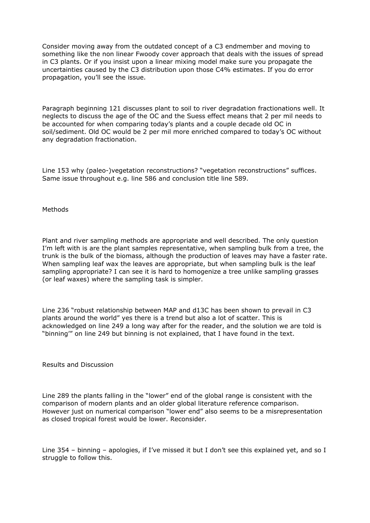Consider moving away from the outdated concept of a C3 endmember and moving to something like the non linear Fwoody cover approach that deals with the issues of spread in C3 plants. Or if you insist upon a linear mixing model make sure you propagate the uncertainties caused by the C3 distribution upon those C4% estimates. If you do error propagation, you'll see the issue.

Paragraph beginning 121 discusses plant to soil to river degradation fractionations well. It neglects to discuss the age of the OC and the Suess effect means that 2 per mil needs to be accounted for when comparing today's plants and a couple decade old OC in soil/sediment. Old OC would be 2 per mil more enriched compared to today's OC without any degradation fractionation.

Line 153 why (paleo-)vegetation reconstructions? "vegetation reconstructions" suffices. Same issue throughout e.g. line 586 and conclusion title line 589.

**Methods** 

Plant and river sampling methods are appropriate and well described. The only question I'm left with is are the plant samples representative, when sampling bulk from a tree, the trunk is the bulk of the biomass, although the production of leaves may have a faster rate. When sampling leaf wax the leaves are appropriate, but when sampling bulk is the leaf sampling appropriate? I can see it is hard to homogenize a tree unlike sampling grasses (or leaf waxes) where the sampling task is simpler.

Line 236 "robust relationship between MAP and d13C has been shown to prevail in C3 plants around the world" yes there is a trend but also a lot of scatter. This is acknowledged on line 249 a long way after for the reader, and the solution we are told is "binning'" on line 249 but binning is not explained, that I have found in the text.

Results and Discussion

Line 289 the plants falling in the "lower" end of the global range is consistent with the comparison of modern plants and an older global literature reference comparison. However just on numerical comparison "lower end" also seems to be a misrepresentation as closed tropical forest would be lower. Reconsider.

Line 354 – binning – apologies, if I've missed it but I don't see this explained yet, and so I struggle to follow this.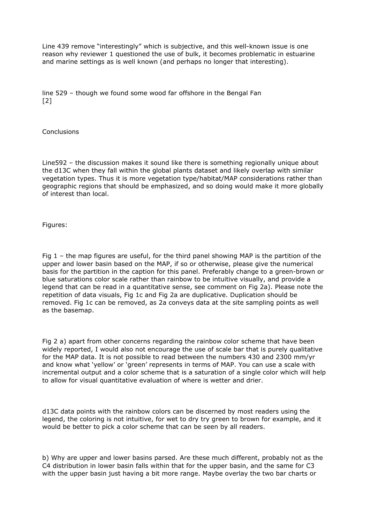Line 439 remove "interestingly" which is subjective, and this well-known issue is one reason why reviewer 1 questioned the use of bulk, it becomes problematic in estuarine and marine settings as is well known (and perhaps no longer that interesting).

line 529 – though we found some wood far offshore in the Bengal Fan [2]

**Conclusions** 

Line592 – the discussion makes it sound like there is something regionally unique about the d13C when they fall within the global plants dataset and likely overlap with similar vegetation types. Thus it is more vegetation type/habitat/MAP considerations rather than geographic regions that should be emphasized, and so doing would make it more globally of interest than local.

Figures:

Fig 1 – the map figures are useful, for the third panel showing MAP is the partition of the upper and lower basin based on the MAP, if so or otherwise, please give the numerical basis for the partition in the caption for this panel. Preferably change to a green-brown or blue saturations color scale rather than rainbow to be intuitive visually, and provide a legend that can be read in a quantitative sense, see comment on Fig 2a). Please note the repetition of data visuals, Fig 1c and Fig 2a are duplicative. Duplication should be removed. Fig 1c can be removed, as 2a conveys data at the site sampling points as well as the basemap.

Fig 2 a) apart from other concerns regarding the rainbow color scheme that have been widely reported, I would also not encourage the use of scale bar that is purely qualitative for the MAP data. It is not possible to read between the numbers 430 and 2300 mm/yr and know what 'yellow' or 'green' represents in terms of MAP. You can use a scale with incremental output and a color scheme that is a saturation of a single color which will help to allow for visual quantitative evaluation of where is wetter and drier.

d13C data points with the rainbow colors can be discerned by most readers using the legend, the coloring is not intuitive, for wet to dry try green to brown for example, and it would be better to pick a color scheme that can be seen by all readers.

b) Why are upper and lower basins parsed. Are these much different, probably not as the C4 distribution in lower basin falls within that for the upper basin, and the same for C3 with the upper basin just having a bit more range. Maybe overlay the two bar charts or